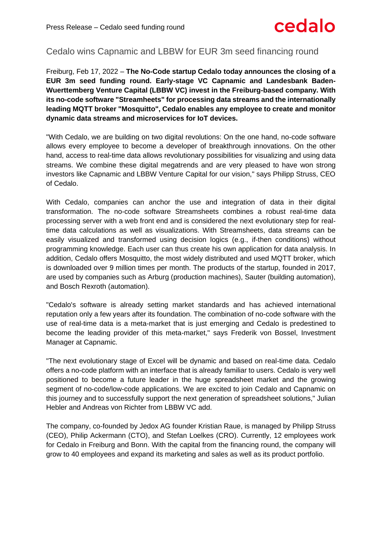# cedalo

# Cedalo wins Capnamic and LBBW for EUR 3m seed financing round

Freiburg, Feb 17, 2022 – **The No-Code startup Cedalo today announces the closing of a EUR 3m seed funding round. Early-stage VC Capnamic and Landesbank Baden-Wuerttemberg Venture Capital (LBBW VC) invest in the Freiburg-based company. With its no-code software "Streamheets" for processing data streams and the internationally leading MQTT broker "Mosquitto", Cedalo enables any employee to create and monitor dynamic data streams and microservices for IoT devices.**

"With Cedalo, we are building on two digital revolutions: On the one hand, no-code software allows every employee to become a developer of breakthrough innovations. On the other hand, access to real-time data allows revolutionary possibilities for visualizing and using data streams. We combine these digital megatrends and are very pleased to have won strong investors like Capnamic and LBBW Venture Capital for our vision," says Philipp Struss, CEO of Cedalo.

With Cedalo, companies can anchor the use and integration of data in their digital transformation. The no-code software Streamsheets combines a robust real-time data processing server with a web front end and is considered the next evolutionary step for realtime data calculations as well as visualizations. With Streamsheets, data streams can be easily visualized and transformed using decision logics (e.g., if-then conditions) without programming knowledge. Each user can thus create his own application for data analysis. In addition, Cedalo offers Mosquitto, the most widely distributed and used MQTT broker, which is downloaded over 9 million times per month. The products of the startup, founded in 2017, are used by companies such as Arburg (production machines), Sauter (building automation), and Bosch Rexroth (automation).

"Cedalo's software is already setting market standards and has achieved international reputation only a few years after its foundation. The combination of no-code software with the use of real-time data is a meta-market that is just emerging and Cedalo is predestined to become the leading provider of this meta-market," says Frederik von Bossel, Investment Manager at Capnamic.

"The next evolutionary stage of Excel will be dynamic and based on real-time data. Cedalo offers a no-code platform with an interface that is already familiar to users. Cedalo is very well positioned to become a future leader in the huge spreadsheet market and the growing segment of no-code/low-code applications. We are excited to join Cedalo and Capnamic on this journey and to successfully support the next generation of spreadsheet solutions," Julian Hebler and Andreas von Richter from LBBW VC add.

The company, co-founded by Jedox AG founder Kristian Raue, is managed by Philipp Struss (CEO), Philip Ackermann (CTO), and Stefan Loelkes (CRO). Currently, 12 employees work for Cedalo in Freiburg and Bonn. With the capital from the financing round, the company will grow to 40 employees and expand its marketing and sales as well as its product portfolio.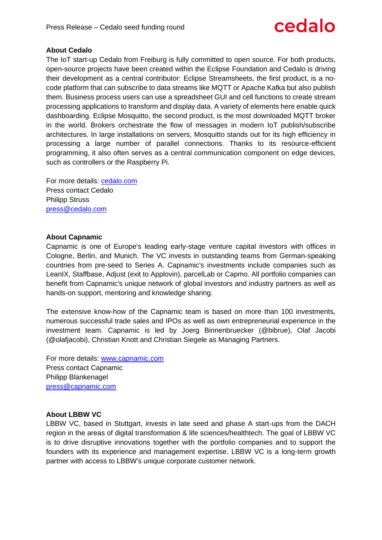

## **About Cedalo**

The IoT start-up Cedalo from Freiburg is fully committed to open source. For both products, open-source projects have been created within the Eclipse Foundation and Cedalo is driving their development as a central contributor: Eclipse Streamsheets, the first product, is a nocode platform that can subscribe to data streams like MQTT or Apache Kafka but also publish them. Business process users can use a spreadsheet GUI and cell functions to create stream processing applications to transform and display data. A variety of elements here enable quick dashboarding. Eclipse Mosquitto, the second product, is the most downloaded MQTT broker in the world. Brokers orchestrate the flow of messages in modern IoT publish/subscribe architectures. In large installations on servers, Mosquitto stands out for its high efficiency in processing a large number of parallel connections. Thanks to its resource-efficient programming, it also often serves as a central communication component on edge devices, such as controllers or the Raspberry Pi.

For more details: [cedalo.com](https://cedalo.com/) Press contact Cedalo Philipp Struss [press@cedalo.com](mailto:press@cedalo.com)

### **About Capnamic**

Capnamic is one of Europe's leading early-stage venture capital investors with offices in Cologne, Berlin, and Munich. The VC invests in outstanding teams from German-speaking countries from pre-seed to Series A. Capnamic's investments include companies such as LeanIX, Staffbase, Adjust (exit to Applovin), parcelLab or Capmo. All portfolio companies can benefit from Capnamic's unique network of global investors and industry partners as well as hands-on support, mentoring and knowledge sharing.

The extensive know-how of the Capnamic team is based on more than 100 investments, numerous successful trade sales and IPOs as well as own entrepreneurial experience in the investment team. Capnamic is led by Joerg Binnenbruecker (@bibrue), Olaf Jacobi (@olafjacobi), Christian Knott and Christian Siegele as Managing Partners.

For more details:<www.capnamic.com> Press contact Capnamic Philipp Blankenagel [press@capnamic.com](mailto:press@capnamic.com)

### **About LBBW VC**

LBBW VC, based in Stuttgart, invests in late seed and phase A start-ups from the DACH region in the areas of digital transformation & life sciences/healthtech. The goal of LBBW VC is to drive disruptive innovations together with the portfolio companies and to support the founders with its experience and management expertise. LBBW VC is a long-term growth partner with access to LBBW's unique corporate customer network.